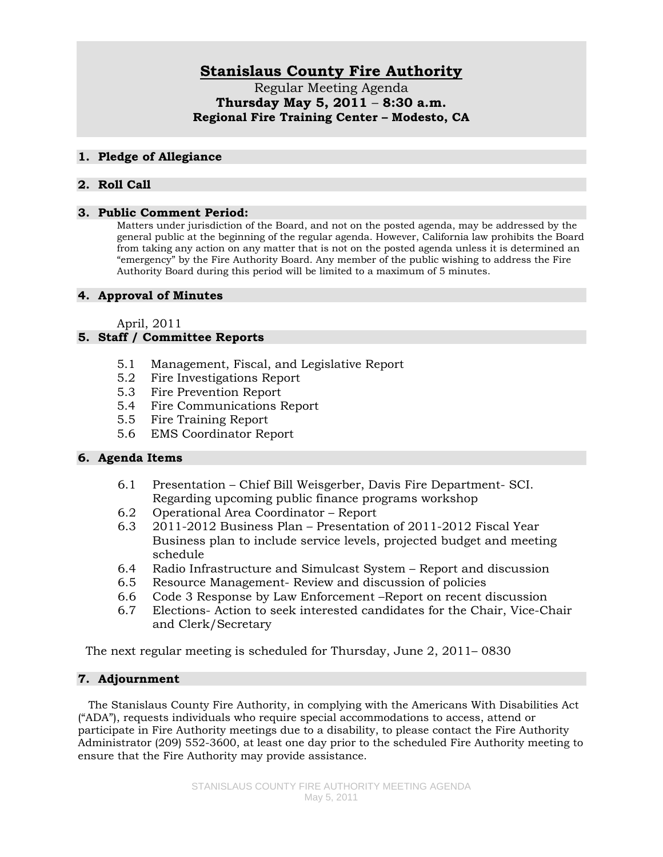# **Stanislaus County Fire Authority**

Regular Meeting Agenda **Thursday May 5, 2011** – **8:30 a.m. Regional Fire Training Center – Modesto, CA** 

#### **1. Pledge of Allegiance**

## **2. Roll Call**

#### **3. Public Comment Period:**

Matters under jurisdiction of the Board, and not on the posted agenda, may be addressed by the general public at the beginning of the regular agenda. However, California law prohibits the Board from taking any action on any matter that is not on the posted agenda unless it is determined an "emergency" by the Fire Authority Board. Any member of the public wishing to address the Fire Authority Board during this period will be limited to a maximum of 5 minutes.

## **4. Approval of Minutes**

April, 2011

# **5. Staff / Committee Reports**

- 5.1 Management, Fiscal, and Legislative Report
- 5.2 Fire Investigations Report
- 5.3 Fire Prevention Report
- 5.4 Fire Communications Report
- 5.5 Fire Training Report
- 5.6 EMS Coordinator Report

## **6. Agenda Items**

- 6.1 Presentation Chief Bill Weisgerber, Davis Fire Department- SCI. Regarding upcoming public finance programs workshop
- 6.2 Operational Area Coordinator Report
- 6.3 2011-2012 Business Plan Presentation of 2011-2012 Fiscal Year Business plan to include service levels, projected budget and meeting schedule
- 6.4 Radio Infrastructure and Simulcast System Report and discussion
- 6.5 Resource Management- Review and discussion of policies
- 6.6 Code 3 Response by Law Enforcement –Report on recent discussion
- 6.7 Elections- Action to seek interested candidates for the Chair, Vice-Chair and Clerk/Secretary

The next regular meeting is scheduled for Thursday, June 2, 2011– 0830

## **7. Adjournment**

 The Stanislaus County Fire Authority, in complying with the Americans With Disabilities Act ("ADA"), requests individuals who require special accommodations to access, attend or participate in Fire Authority meetings due to a disability, to please contact the Fire Authority Administrator (209) 552-3600, at least one day prior to the scheduled Fire Authority meeting to ensure that the Fire Authority may provide assistance.